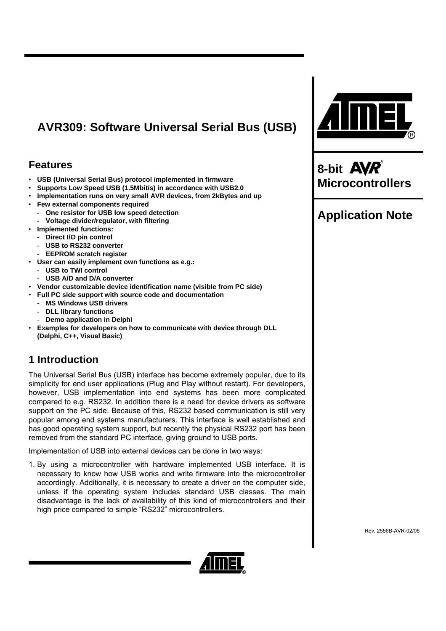# **AVR309: Software Universal Serial Bus (USB)**

# **Features**

- **USB (Universal Serial Bus) protocol implemented in firmware**
- **Supports Low Speed USB (1.5Mbit/s) in accordance with USB2.0**
- **Implementation runs on very small AVR devices, from 2kBytes and up**
- **Few external components required** 
	- **One resistor for USB low speed detection**
	- **Voltage divider/regulator, with filtering**
- **Implemented functions:** 
	- **Direct I/O pin control**
	- USB to RS232 converter
	- **EEPROM scratch register**
- **User can easily implement own functions as e.g.:** 
	- **USB to TWI control**
	- USB A/D and D/A converter
- **Vendor customizable device identification name (visible from PC side)**
- **Full PC side support with source code and documentation**
- **MS Windows USB drivers**
- **DLL library functions**
- **Demo application in Delphi**
- **Examples for developers on how to communicate with device through DLL (Delphi, C++, Visual Basic)**

# **1 Introduction**

The Universal Serial Bus (USB) interface has become extremely popular, due to its simplicity for end user applications (Plug and Play without restart). For developers, however, USB implementation into end systems has been more complicated compared to e.g. RS232. In addition there is a need for device drivers as software support on the PC side. Because of this, RS232 based communication is still very popular among end systems manufacturers. This interface is well established and has good operating system support, but recently the physical RS232 port has been removed from the standard PC interface, giving ground to USB ports.

Implementation of USB into external devices can be done in two ways:

1. By using a microcontroller with hardware implemented USB interface. It is necessary to know how USB works and write firmware into the microcontroller accordingly. Additionally, it is necessary to create a driver on the computer side, unless if the operating system includes standard USB classes. The main disadvantage is the lack of availability of this kind of microcontrollers and their high price compared to simple "RS232" microcontrollers.





**8-bit Microcontrollers** 

# **Application Note**

Rev. 2556B-AVR-02/06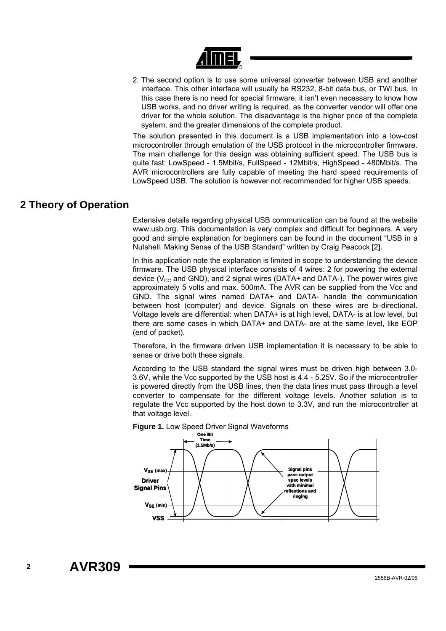

2. The second option is to use some universal converter between USB and another interface. This other interface will usually be RS232, 8-bit data bus, or TWI bus. In this case there is no need for special firmware, it isn't even necessary to know how USB works, and no driver writing is required, as the converter vendor will offer one driver for the whole solution. The disadvantage is the higher price of the complete system, and the greater dimensions of the complete product.

The solution presented in this document is a USB implementation into a low-cost microcontroller through emulation of the USB protocol in the microcontroller firmware. The main challenge for this design was obtaining sufficient speed. The USB bus is quite fast: LowSpeed - 1.5Mbit/s, FullSpeed - 12Mbit/s, HighSpeed - 480Mbit/s. The AVR microcontrollers are fully capable of meeting the hard speed requirements of LowSpeed USB. The solution is however not recommended for higher USB speeds.

# **2 Theory of Operation**

Extensive details regarding physical USB communication can be found at the website www.usb.org. This documentation is very complex and difficult for beginners. A very good and simple explanation for beginners can be found in the document "USB in a Nutshell. Making Sense of the USB Standard" written by Craig Peacock [\[2\].](#page-20-0)

In this application note the explanation is limited in scope to understanding the device firmware. The USB physical interface consists of 4 wires: 2 for powering the external device ( $V_{CC}$  and GND), and 2 signal wires (DATA+ and DATA-). The power wires give approximately 5 volts and max. 500mA. The AVR can be supplied from the Vcc and GND. The signal wires named DATA+ and DATA- handle the communication between host (computer) and device. Signals on these wires are bi-directional. Voltage levels are differential: when DATA+ is at high level, DATA- is at low level, but there are some cases in which DATA+ and DATA- are at the same level, like EOP (end of packet).

Therefore, in the firmware driven USB implementation it is necessary to be able to sense or drive both these signals.

According to the USB standard the signal wires must be driven high between 3.0- 3.6V, while the Vcc supported by the USB host is 4.4 - 5.25V. So if the microcontroller is powered directly from the USB lines, then the data lines must pass through a level converter to compensate for the different voltage levels. Another solution is to regulate the Vcc supported by the host down to 3.3V, and run the microcontroller at that voltage level.



## **Figure 1.** Low Speed Driver Signal Waveforms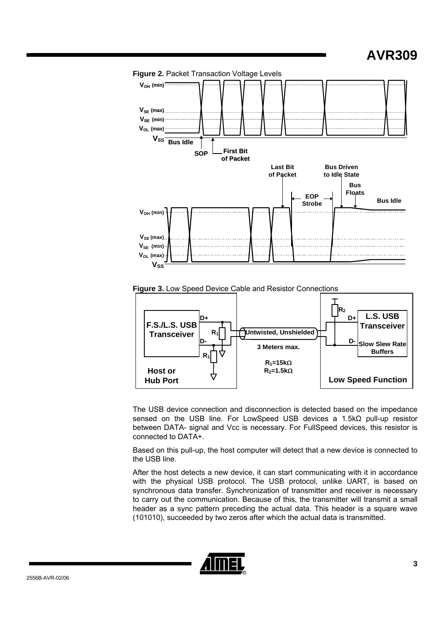

**Figure 3.** Low Speed Device Cable and Resistor Connections



The USB device connection and disconnection is detected based on the impedance sensed on the USB line. For LowSpeed USB devices a 1.5kΩ pull-up resistor between DATA- signal and Vcc is necessary. For FullSpeed devices, this resistor is connected to DATA+.

Based on this pull-up, the host computer will detect that a new device is connected to the USB line.

After the host detects a new device, it can start communicating with it in accordance with the physical USB protocol. The USB protocol, unlike UART, is based on synchronous data transfer. Synchronization of transmitter and receiver is necessary to carry out the communication. Because of this, the transmitter will transmit a small header as a sync pattern preceding the actual data. This header is a square wave (101010), succeeded by two zeros after which the actual data is transmitted.

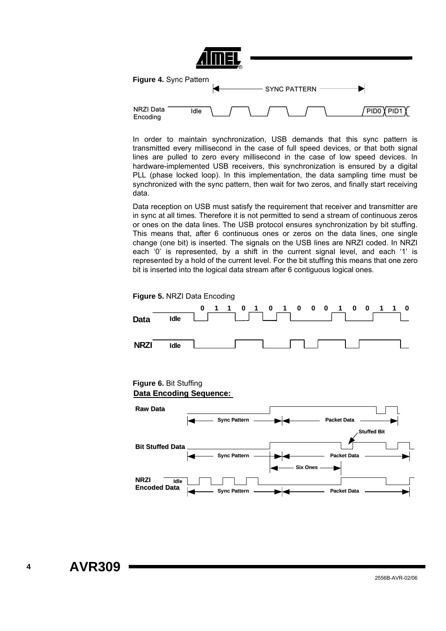<span id="page-3-0"></span>

In order to maintain synchronization, USB demands that this sync pattern is transmitted every millisecond in the case of full speed devices, or that both signal lines are pulled to zero every millisecond in the case of low speed devices. In hardware-implemented USB receivers, this synchronization is ensured by a digital PLL (phase locked loop). In this implementation, the data sampling time must be synchronized with the sync pattern, then wait for two zeros, and finally start receiving data.

Data reception on USB must satisfy the requirement that receiver and transmitter are in sync at all times. Therefore it is not permitted to send a stream of continuous zeros or ones on the data lines. The USB protocol ensures synchronization by bit stuffing. This means that, after 6 continuous ones or zeros on the data lines, one single change (one bit) is inserted. The signals on the USB lines are NRZI coded. In NRZI each '0' is represented, by a shift in the current signal level, and each '1' is represented by a hold of the current level. For the bit stuffing this means that one zero bit is inserted into the logical data stream after 6 contiguous logical ones.



**Figure 5.** NRZI Data Encoding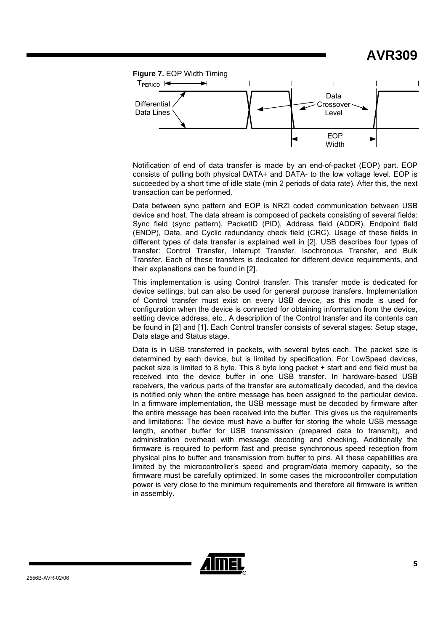

Notification of end of data transfer is made by an end-of-packet (EOP) part. EOP consists of pulling both physical DATA+ and DATA- to the low voltage level. EOP is succeeded by a short time of idle state (min 2 periods of data rate). After this, the next transaction can be performed.

Data between sync pattern and EOP is NRZI coded communication between USB device and host. The data stream is composed of packets consisting of several fields: Sync field (sync pattern), PacketID (PID), Address field (ADDR), Endpoint field (ENDP), Data, and Cyclic redundancy check field (CRC). Usage of these fields in different types of data transfer is explained well in [\[2\].](#page-20-0) USB describes four types of transfer: Control Transfer, Interrupt Transfer, Isochronous Transfer, and Bulk Transfer. Each of these transfers is dedicated for different device requirements, and their explanations can be found in [\[2\].](#page-20-0)

This implementation is using Control transfer. This transfer mode is dedicated for device settings, but can also be used for general purpose transfers. Implementation of Control transfer must exist on every USB device, as this mode is used for configuration when the device is connected for obtaining information from the device, setting device address, etc.. A description of the Control transfer and its contents can be found in [\[2\]](#page-20-0) and [\[1\].](#page-20-1) Each Control transfer consists of several stages: Setup stage, Data stage and Status stage.

Data is in USB transferred in packets, with several bytes each. The packet size is determined by each device, but is limited by specification. For LowSpeed devices, packet size is limited to 8 byte. This 8 byte long packet + start and end field must be received into the device buffer in one USB transfer. In hardware-based USB receivers, the various parts of the transfer are automatically decoded, and the device is notified only when the entire message has been assigned to the particular device. In a firmware implementation, the USB message must be decoded by firmware after the entire message has been received into the buffer. This gives us the requirements and limitations: The device must have a buffer for storing the whole USB message length, another buffer for USB transmission (prepared data to transmit), and administration overhead with message decoding and checking. Additionally the firmware is required to perform fast and precise synchronous speed reception from physical pins to buffer and transmission from buffer to pins. All these capabilities are limited by the microcontroller's speed and program/data memory capacity, so the firmware must be carefully optimized. In some cases the microcontroller computation power is very close to the minimum requirements and therefore all firmware is written in assembly.

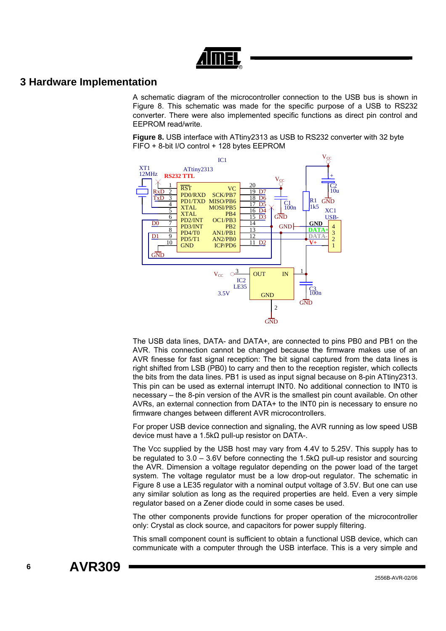

# **3 Hardware Implementation**

A schematic diagram of the microcontroller connection to the USB bus is shown in [Figure 8.](#page-5-0) This schematic was made for the specific purpose of a USB to RS232 converter. There were also implemented specific functions as direct pin control and EEPROM read/write.

<span id="page-5-0"></span>**Figure 8.** USB interface with ATtiny2313 as USB to RS232 converter with 32 byte FIFO + 8-bit I/O control + 128 bytes EEPROM



The USB data lines, DATA- and DATA+, are connected to pins PB0 and PB1 on the AVR. This connection cannot be changed because the firmware makes use of an AVR finesse for fast signal reception: The bit signal captured from the data lines is right shifted from LSB (PB0) to carry and then to the reception register, which collects the bits from the data lines. PB1 is used as input signal because on 8-pin ATtiny2313. This pin can be used as external interrupt INT0. No additional connection to INT0 is necessary – the 8-pin version of the AVR is the smallest pin count available. On other AVRs, an external connection from DATA+ to the INT0 pin is necessary to ensure no firmware changes between different AVR microcontrollers.

For proper USB device connection and signaling, the AVR running as low speed USB device must have a 1.5kΩ pull-up resistor on DATA-.

The Vcc supplied by the USB host may vary from 4.4V to 5.25V. This supply has to be regulated to  $3.0 - 3.6V$  before connecting the 1.5k $\Omega$  pull-up resistor and sourcing the AVR. Dimension a voltage regulator depending on the power load of the target system. The voltage regulator must be a low drop-out regulator. The schematic in [Figure 8](#page-5-0) use a LE35 regulator with a nominal output voltage of 3.5V. But one can use any similar solution as long as the required properties are held. Even a very simple regulator based on a Zener diode could in some cases be used.

The other components provide functions for proper operation of the microcontroller only: Crystal as clock source, and capacitors for power supply filtering.

This small component count is sufficient to obtain a functional USB device, which can communicate with a computer through the USB interface. This is a very simple and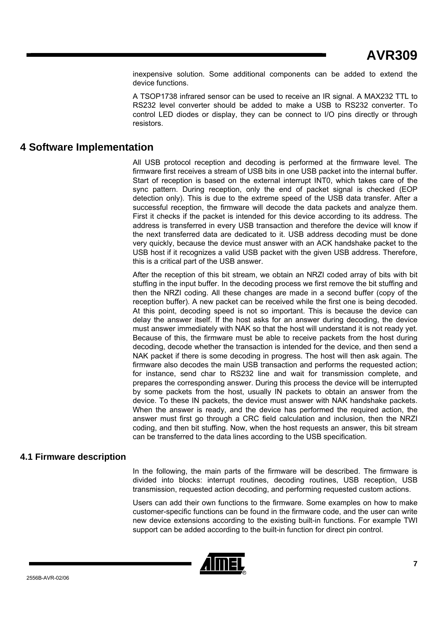inexpensive solution. Some additional components can be added to extend the device functions.

A TSOP1738 infrared sensor can be used to receive an IR signal. A MAX232 TTL to RS232 level converter should be added to make a USB to RS232 converter. To control LED diodes or display, they can be connect to I/O pins directly or through resistors.

# **4 Software Implementation**

All USB protocol reception and decoding is performed at the firmware level. The firmware first receives a stream of USB bits in one USB packet into the internal buffer. Start of reception is based on the external interrupt INT0, which takes care of the sync pattern. During reception, only the end of packet signal is checked (EOP detection only). This is due to the extreme speed of the USB data transfer. After a successful reception, the firmware will decode the data packets and analyze them. First it checks if the packet is intended for this device according to its address. The address is transferred in every USB transaction and therefore the device will know if the next transferred data are dedicated to it. USB address decoding must be done very quickly, because the device must answer with an ACK handshake packet to the USB host if it recognizes a valid USB packet with the given USB address. Therefore, this is a critical part of the USB answer.

After the reception of this bit stream, we obtain an NRZI coded array of bits with bit stuffing in the input buffer. In the decoding process we first remove the bit stuffing and then the NRZI coding. All these changes are made in a second buffer (copy of the reception buffer). A new packet can be received while the first one is being decoded. At this point, decoding speed is not so important. This is because the device can delay the answer itself. If the host asks for an answer during decoding, the device must answer immediately with NAK so that the host will understand it is not ready yet. Because of this, the firmware must be able to receive packets from the host during decoding, decode whether the transaction is intended for the device, and then send a NAK packet if there is some decoding in progress. The host will then ask again. The firmware also decodes the main USB transaction and performs the requested action; for instance, send char to RS232 line and wait for transmission complete, and prepares the corresponding answer. During this process the device will be interrupted by some packets from the host, usually IN packets to obtain an answer from the device. To these IN packets, the device must answer with NAK handshake packets. When the answer is ready, and the device has performed the required action, the answer must first go through a CRC field calculation and inclusion, then the NRZI coding, and then bit stuffing. Now, when the host requests an answer, this bit stream can be transferred to the data lines according to the USB specification.

# **4.1 Firmware description**

In the following, the main parts of the firmware will be described. The firmware is divided into blocks: interrupt routines, decoding routines, USB reception, USB transmission, requested action decoding, and performing requested custom actions.

Users can add their own functions to the firmware. Some examples on how to make customer-specific functions can be found in the firmware code, and the user can write new device extensions according to the existing built-in functions. For example TWI support can be added according to the built-in function for direct pin control.

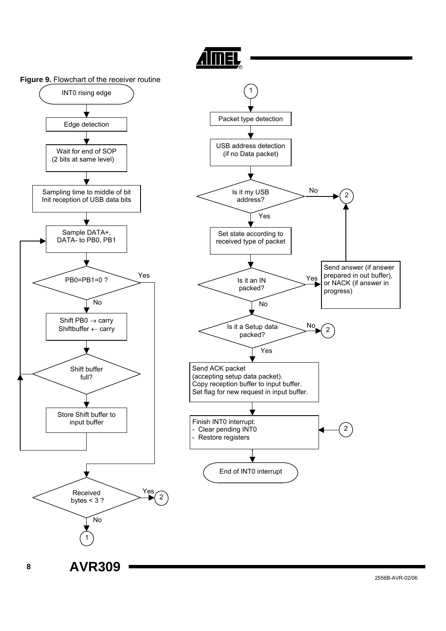

<sup>2556</sup>B-AVR-02/06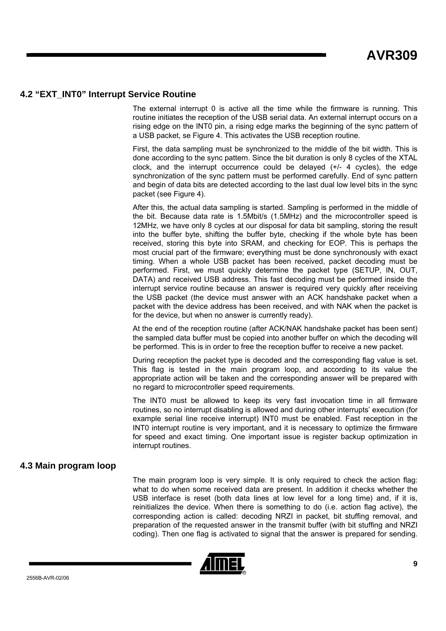# **4.2 "EXT\_INT0" Interrupt Service Routine**

The external interrupt 0 is active all the time while the firmware is running. This routine initiates the reception of the USB serial data. An external interrupt occurs on a rising edge on the INT0 pin, a rising edge marks the beginning of the sync pattern of a USB packet, se [Figure 4.](#page-3-0) This activates the USB reception routine.

First, the data sampling must be synchronized to the middle of the bit width. This is done according to the sync pattern. Since the bit duration is only 8 cycles of the XTAL clock, and the interrupt occurrence could be delayed (+/- 4 cycles), the edge synchronization of the sync pattern must be performed carefully. End of sync pattern and begin of data bits are detected according to the last dual low level bits in the sync packet (see [Figure 4\)](#page-3-0).

After this, the actual data sampling is started. Sampling is performed in the middle of the bit. Because data rate is 1.5Mbit/s (1.5MHz) and the microcontroller speed is 12MHz, we have only 8 cycles at our disposal for data bit sampling, storing the result into the buffer byte, shifting the buffer byte, checking if the whole byte has been received, storing this byte into SRAM, and checking for EOP. This is perhaps the most crucial part of the firmware; everything must be done synchronously with exact timing. When a whole USB packet has been received, packet decoding must be performed. First, we must quickly determine the packet type (SETUP, IN, OUT, DATA) and received USB address. This fast decoding must be performed inside the interrupt service routine because an answer is required very quickly after receiving the USB packet (the device must answer with an ACK handshake packet when a packet with the device address has been received, and with NAK when the packet is for the device, but when no answer is currently ready).

At the end of the reception routine (after ACK/NAK handshake packet has been sent) the sampled data buffer must be copied into another buffer on which the decoding will be performed. This is in order to free the reception buffer to receive a new packet.

During reception the packet type is decoded and the corresponding flag value is set. This flag is tested in the main program loop, and according to its value the appropriate action will be taken and the corresponding answer will be prepared with no regard to microcontroller speed requirements.

The INT0 must be allowed to keep its very fast invocation time in all firmware routines, so no interrupt disabling is allowed and during other interrupts' execution (for example serial line receive interrupt) INT0 must be enabled. Fast reception in the INT0 interrupt routine is very important, and it is necessary to optimize the firmware for speed and exact timing. One important issue is register backup optimization in interrupt routines.

# **4.3 Main program loop**

The main program loop is very simple. It is only required to check the action flag: what to do when some received data are present. In addition it checks whether the USB interface is reset (both data lines at low level for a long time) and, if it is, reinitializes the device. When there is something to do (i.e. action flag active), the corresponding action is called: decoding NRZI in packet, bit stuffing removal, and preparation of the requested answer in the transmit buffer (with bit stuffing and NRZI coding). Then one flag is activated to signal that the answer is prepared for sending.

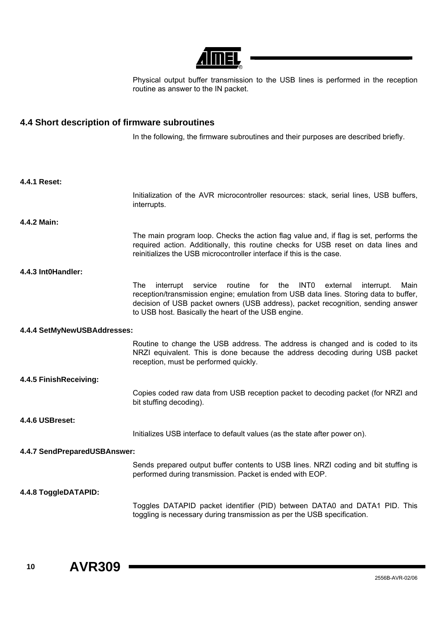

Physical output buffer transmission to the USB lines is performed in the reception routine as answer to the IN packet.

## **4.4 Short description of firmware subroutines**

In the following, the firmware subroutines and their purposes are described briefly.

## **4.4.1 Reset:**

Initialization of the AVR microcontroller resources: stack, serial lines, USB buffers, interrupts.

## **4.4.2 Main:**

The main program loop. Checks the action flag value and, if flag is set, performs the required action. Additionally, this routine checks for USB reset on data lines and reinitializes the USB microcontroller interface if this is the case.

## **4.4.3 Int0Handler:**

The interrupt service routine for the INT0 external interrupt. Main reception/transmission engine; emulation from USB data lines. Storing data to buffer, decision of USB packet owners (USB address), packet recognition, sending answer to USB host. Basically the heart of the USB engine.

#### **4.4.4 SetMyNewUSBAddresses:**

Routine to change the USB address. The address is changed and is coded to its NRZI equivalent. This is done because the address decoding during USB packet reception, must be performed quickly.

## **4.4.5 FinishReceiving:**

Copies coded raw data from USB reception packet to decoding packet (for NRZI and bit stuffing decoding).

## **4.4.6 USBreset:**

Initializes USB interface to default values (as the state after power on).

## **4.4.7 SendPreparedUSBAnswer:**

Sends prepared output buffer contents to USB lines. NRZI coding and bit stuffing is performed during transmission. Packet is ended with EOP.

## **4.4.8 ToggleDATAPID:**

Toggles DATAPID packet identifier (PID) between DATA0 and DATA1 PID. This toggling is necessary during transmission as per the USB specification.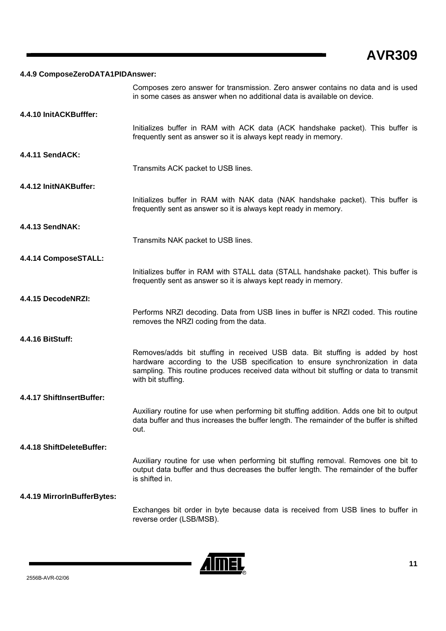## **4.4.9 ComposeZeroDATA1PIDAnswer:**

|                             | Composes zero answer for transmission. Zero answer contains no data and is used<br>in some cases as answer when no additional data is available on device.                                                                                                                     |
|-----------------------------|--------------------------------------------------------------------------------------------------------------------------------------------------------------------------------------------------------------------------------------------------------------------------------|
| 4.4.10 InitACKBufffer:      |                                                                                                                                                                                                                                                                                |
|                             |                                                                                                                                                                                                                                                                                |
|                             | Initializes buffer in RAM with ACK data (ACK handshake packet). This buffer is<br>frequently sent as answer so it is always kept ready in memory.                                                                                                                              |
| 4.4.11 SendACK:             |                                                                                                                                                                                                                                                                                |
|                             |                                                                                                                                                                                                                                                                                |
|                             | Transmits ACK packet to USB lines.                                                                                                                                                                                                                                             |
| 4.4.12 InitNAKBuffer:       |                                                                                                                                                                                                                                                                                |
|                             |                                                                                                                                                                                                                                                                                |
|                             | Initializes buffer in RAM with NAK data (NAK handshake packet). This buffer is<br>frequently sent as answer so it is always kept ready in memory.                                                                                                                              |
| 4.4.13 SendNAK:             |                                                                                                                                                                                                                                                                                |
|                             |                                                                                                                                                                                                                                                                                |
|                             | Transmits NAK packet to USB lines.                                                                                                                                                                                                                                             |
| 4.4.14 ComposeSTALL:        |                                                                                                                                                                                                                                                                                |
|                             |                                                                                                                                                                                                                                                                                |
|                             | Initializes buffer in RAM with STALL data (STALL handshake packet). This buffer is<br>frequently sent as answer so it is always kept ready in memory.                                                                                                                          |
| 4.4.15 DecodeNRZI:          |                                                                                                                                                                                                                                                                                |
|                             |                                                                                                                                                                                                                                                                                |
|                             | Performs NRZI decoding. Data from USB lines in buffer is NRZI coded. This routine<br>removes the NRZI coding from the data.                                                                                                                                                    |
| 4.4.16 BitStuff:            |                                                                                                                                                                                                                                                                                |
|                             |                                                                                                                                                                                                                                                                                |
|                             | Removes/adds bit stuffing in received USB data. Bit stuffing is added by host<br>hardware according to the USB specification to ensure synchronization in data<br>sampling. This routine produces received data without bit stuffing or data to transmit<br>with bit stuffing. |
| 4.4.17 ShiftInsertBuffer:   |                                                                                                                                                                                                                                                                                |
|                             |                                                                                                                                                                                                                                                                                |
|                             | Auxiliary routine for use when performing bit stuffing addition. Adds one bit to output<br>data buffer and thus increases the buffer length. The remainder of the buffer is shifted<br>out.                                                                                    |
| 4.4.18 ShiftDeleteBuffer:   |                                                                                                                                                                                                                                                                                |
|                             |                                                                                                                                                                                                                                                                                |
|                             | Auxiliary routine for use when performing bit stuffing removal. Removes one bit to<br>output data buffer and thus decreases the buffer length. The remainder of the buffer<br>is shifted in.                                                                                   |
| 4.4.19 MirrorInBufferBytes: |                                                                                                                                                                                                                                                                                |
|                             |                                                                                                                                                                                                                                                                                |
|                             | Exchanges bit order in byte because data is received from USB lines to buffer in<br>reverse order (LSB/MSB).                                                                                                                                                                   |



t.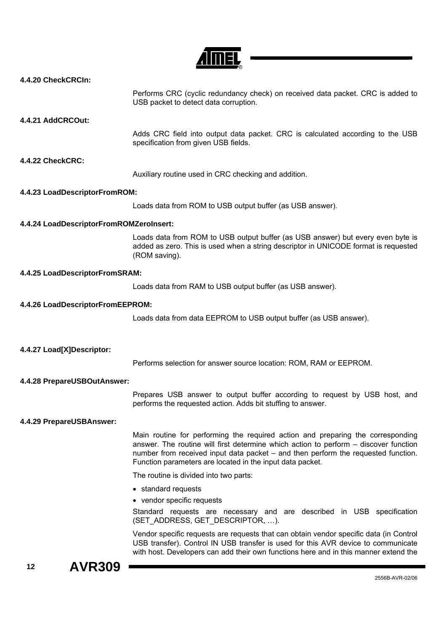

 $\blacksquare$ 

| 4.4.20 CheckCRCIn:                      |                                                                                                                                                                                                                                                                                                                           |
|-----------------------------------------|---------------------------------------------------------------------------------------------------------------------------------------------------------------------------------------------------------------------------------------------------------------------------------------------------------------------------|
|                                         | Performs CRC (cyclic redundancy check) on received data packet. CRC is added to<br>USB packet to detect data corruption.                                                                                                                                                                                                  |
| 4.4.21 AddCRCOut:                       |                                                                                                                                                                                                                                                                                                                           |
|                                         | Adds CRC field into output data packet. CRC is calculated according to the USB<br>specification from given USB fields.                                                                                                                                                                                                    |
| 4.4.22 CheckCRC:                        |                                                                                                                                                                                                                                                                                                                           |
|                                         | Auxiliary routine used in CRC checking and addition.                                                                                                                                                                                                                                                                      |
| 4.4.23 LoadDescriptorFromROM:           |                                                                                                                                                                                                                                                                                                                           |
|                                         | Loads data from ROM to USB output buffer (as USB answer).                                                                                                                                                                                                                                                                 |
| 4.4.24 LoadDescriptorFromROMZeroInsert: |                                                                                                                                                                                                                                                                                                                           |
|                                         | Loads data from ROM to USB output buffer (as USB answer) but every even byte is<br>added as zero. This is used when a string descriptor in UNICODE format is requested<br>(ROM saving).                                                                                                                                   |
| 4.4.25 LoadDescriptorFromSRAM:          |                                                                                                                                                                                                                                                                                                                           |
|                                         | Loads data from RAM to USB output buffer (as USB answer).                                                                                                                                                                                                                                                                 |
| 4.4.26 LoadDescriptorFromEEPROM:        |                                                                                                                                                                                                                                                                                                                           |
|                                         | Loads data from data EEPROM to USB output buffer (as USB answer).                                                                                                                                                                                                                                                         |
|                                         |                                                                                                                                                                                                                                                                                                                           |
| 4.4.27 Load[X]Descriptor:               |                                                                                                                                                                                                                                                                                                                           |
|                                         | Performs selection for answer source location: ROM, RAM or EEPROM.                                                                                                                                                                                                                                                        |
| 4.4.28 PrepareUSBOutAnswer:             |                                                                                                                                                                                                                                                                                                                           |
|                                         | Prepares USB answer to output buffer according to request by USB host, and<br>performs the requested action. Adds bit stuffing to answer.                                                                                                                                                                                 |
| 4.4.29 PrepareUSBAnswer:                |                                                                                                                                                                                                                                                                                                                           |
|                                         | Main routine for performing the required action and preparing the corresponding<br>answer. The routine will first determine which action to perform - discover function<br>number from received input data packet – and then perform the requested function.<br>Function parameters are located in the input data packet. |
|                                         | The routine is divided into two parts:                                                                                                                                                                                                                                                                                    |
|                                         | • standard requests                                                                                                                                                                                                                                                                                                       |
|                                         | • vendor specific requests                                                                                                                                                                                                                                                                                                |
|                                         | Standard requests are necessary and are described in USB specification<br>(SET_ADDRESS, GET_DESCRIPTOR, ).                                                                                                                                                                                                                |
|                                         | Vendor specific requests are requests that can obtain vendor specific data (in Control<br>USB transfer). Control IN USB transfer is used for this AVR device to communicate<br>with host. Developers can add their own functions here and in this manner extend the                                                       |
| <b>AVR309</b><br>12                     |                                                                                                                                                                                                                                                                                                                           |

٠

۰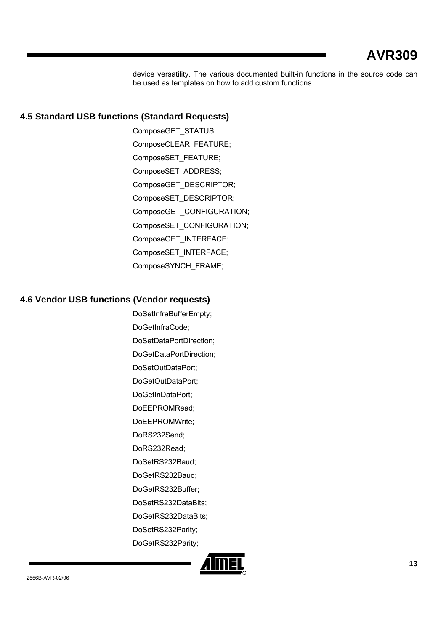# **AVR309**

device versatility. The various documented built-in functions in the source code can be used as templates on how to add custom functions.

# **4.5 Standard USB functions (Standard Requests)**

ComposeGET\_STATUS; ComposeCLEAR\_FEATURE; ComposeSET\_FEATURE; ComposeSET\_ADDRESS; ComposeGET\_DESCRIPTOR; ComposeSET\_DESCRIPTOR; ComposeGET\_CONFIGURATION; ComposeSET\_CONFIGURATION; ComposeGET\_INTERFACE; ComposeSET\_INTERFACE; ComposeSYNCH\_FRAME;

# **4.6 Vendor USB functions (Vendor requests)**

DoSetInfraBufferEmpty; DoGetInfraCode; DoSetDataPortDirection; DoGetDataPortDirection; DoSetOutDataPort; DoGetOutDataPort; DoGetInDataPort; DoEEPROMRead; DoEEPROMWrite; DoRS232Send; DoRS232Read; DoSetRS232Baud; DoGetRS232Baud; DoGetRS232Buffer; DoSetRS232DataBits; DoGetRS232DataBits; DoSetRS232Parity; DoGetRS232Parity;

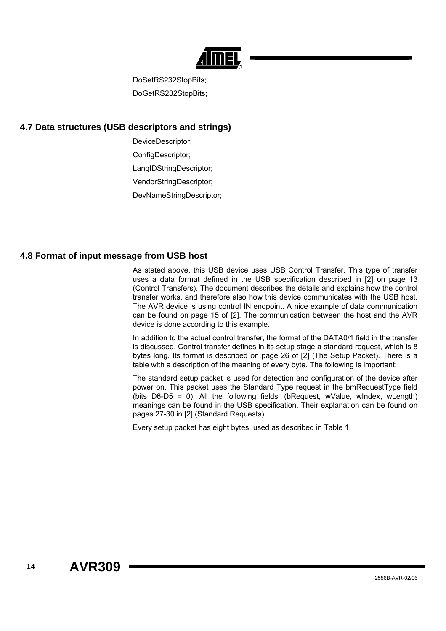DoSetRS232StopBits; DoGetRS232StopBits;

# **4.7 Data structures (USB descriptors and strings)**

DeviceDescriptor;

ConfigDescriptor:

LangIDStringDescriptor;

VendorStringDescriptor;

DevNameStringDescriptor;

# **4.8 Format of input message from USB host**

As stated above, this USB device uses USB Control Transfer. This type of transfer uses a data format defined in the USB specification described in [\[2\]](#page-20-0) on page 13 (Control Transfers). The document describes the details and explains how the control transfer works, and therefore also how this device communicates with the USB host. The AVR device is using control IN endpoint. A nice example of data communication can be found on page 15 of [\[2\].](#page-20-0) The communication between the host and the AVR device is done according to this example.

In addition to the actual control transfer, the format of the DATA0/1 field in the transfer is discussed. Control transfer defines in its setup stage a standard request, which is 8 bytes long. Its format is described on page 26 of [\[2\]](#page-20-0) (The Setup Packet). There is a table with a description of the meaning of every byte. The following is important:

The standard setup packet is used for detection and configuration of the device after power on. This packet uses the Standard Type request in the bmRequestType field (bits D6-D5 = 0). All the following fields' (bRequest, wValue, wIndex, wLength) meanings can be found in the USB specification. Their explanation can be found on pages 27-30 in [\[2\]](#page-20-0) (Standard Requests).

Every setup packet has eight bytes, used as described in [Table 1.](#page-14-0)

**14 AVR309**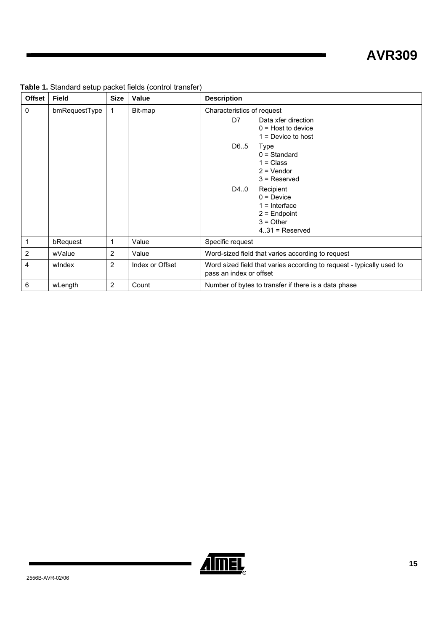| <b>Offset</b>  | <b>Field</b>  | <b>Size</b>    | Value           | <b>Description</b>                                                                                                                                                                                                                                                                                       |  |  |
|----------------|---------------|----------------|-----------------|----------------------------------------------------------------------------------------------------------------------------------------------------------------------------------------------------------------------------------------------------------------------------------------------------------|--|--|
| $\mathbf{0}$   | bmRequestType | 1              | Bit-map         | Characteristics of request<br>D7<br>Data xfer direction<br>$0 =$ Host to device<br>$1 =$ Device to host<br>D6.5<br>Type<br>$0 =$ Standard<br>$1 = Class$<br>$2 = V$ endor<br>$3$ = Reserved<br>D4.0<br>Recipient<br>$0 =$ Device<br>$1 =$ Interface<br>$2 =$ Endpoint<br>$3 =$ Other<br>$431$ = Reserved |  |  |
| 1              | bRequest      | 1              | Value           | Specific request                                                                                                                                                                                                                                                                                         |  |  |
| $\overline{2}$ | wValue        | $\overline{2}$ | Value           | Word-sized field that varies according to request                                                                                                                                                                                                                                                        |  |  |
| 4              | windex        | 2              | Index or Offset | Word sized field that varies according to request - typically used to<br>pass an index or offset                                                                                                                                                                                                         |  |  |
| 6              | wLength       | $\overline{2}$ | Count           | Number of bytes to transfer if there is a data phase                                                                                                                                                                                                                                                     |  |  |

# <span id="page-14-0"></span>Table 1. Standard setup packet fields (control transfer)

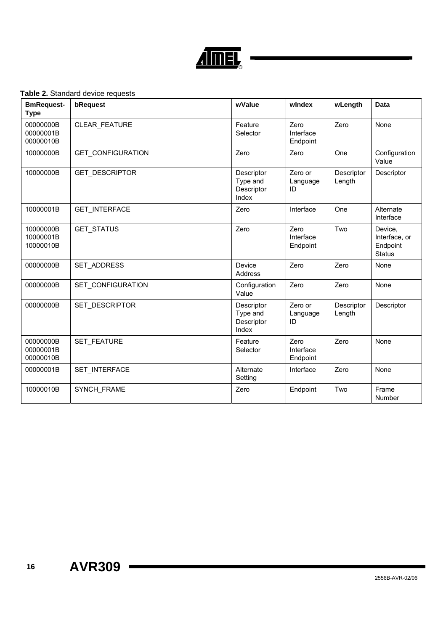

**.** 

## **Table 2.** Standard device requests

| <b>BmRequest-</b><br><b>Type</b>    | bRequest                 | wValue                                        | windex                        | wLength              | <b>Data</b>                                           |
|-------------------------------------|--------------------------|-----------------------------------------------|-------------------------------|----------------------|-------------------------------------------------------|
| 00000000B<br>00000001B<br>00000010B | <b>CLEAR FEATURE</b>     | Feature<br>Selector                           | Zero<br>Interface<br>Endpoint | Zero                 | None                                                  |
| 10000000B                           | <b>GET CONFIGURATION</b> | Zero                                          | Zero                          | One                  | Configuration<br>Value                                |
| 10000000B                           | <b>GET DESCRIPTOR</b>    | Descriptor<br>Type and<br>Descriptor<br>Index | Zero or<br>Language<br>ID     | Descriptor<br>Length | Descriptor                                            |
| 10000001B                           | <b>GET INTERFACE</b>     | Zero                                          | Interface                     | One                  | Alternate<br>Interface                                |
| 10000000B<br>10000001B<br>10000010B | <b>GET STATUS</b>        | Zero                                          | Zero<br>Interface<br>Endpoint | Two                  | Device,<br>Interface, or<br>Endpoint<br><b>Status</b> |
| 00000000B                           | SET ADDRESS              | Device<br><b>Address</b>                      | Zero                          | Zero                 | None                                                  |
| 00000000B                           | SET CONFIGURATION        | Configuration<br>Value                        | Zero                          | Zero                 | None                                                  |
| 00000000B                           | SET DESCRIPTOR           | Descriptor<br>Type and<br>Descriptor<br>Index | Zero or<br>Language<br>ID     | Descriptor<br>Length | Descriptor                                            |
| 00000000B<br>00000001B<br>00000010B | SET_FEATURE              | Feature<br>Selector                           | Zero<br>Interface<br>Endpoint | Zero                 | None                                                  |
| 00000001B                           | <b>SET INTERFACE</b>     | Alternate<br>Setting                          | Interface                     | Zero                 | None                                                  |
| 10000010B                           | SYNCH FRAME              | Zero                                          | Endpoint                      | Two                  | Frame<br><b>Number</b>                                |

۰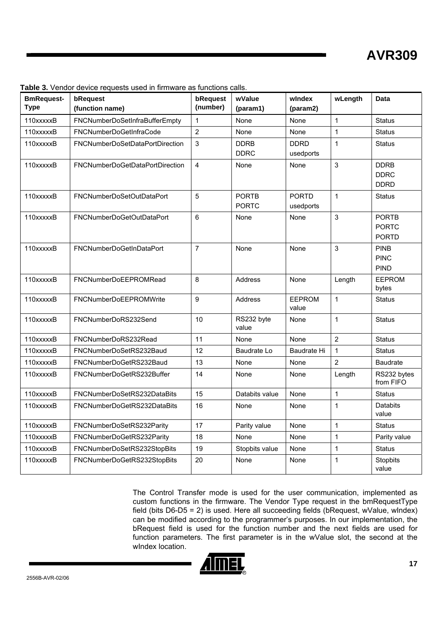| <b>BmRequest-</b><br><b>Type</b> | bRequest<br>(function name)     | bRequest<br>(number) | wValue<br>(param1)           | windex<br>(param2)        | wLength        | Data                                         |
|----------------------------------|---------------------------------|----------------------|------------------------------|---------------------------|----------------|----------------------------------------------|
| 110xxxxxB                        | FNCNumberDoSetInfraBufferEmpty  | $\mathbf{1}$         | None                         | None                      | $\mathbf{1}$   | <b>Status</b>                                |
| 110xxxxxB                        | FNCNumberDoGetInfraCode         | $\overline{2}$       | None                         | None                      | $\mathbf{1}$   | <b>Status</b>                                |
| 110xxxxxB                        | FNCNumberDoSetDataPortDirection | $\mathbf{3}$         | <b>DDRB</b><br><b>DDRC</b>   | <b>DDRD</b><br>usedports  | $\mathbf{1}$   | <b>Status</b>                                |
| 110xxxxxB                        | FNCNumberDoGetDataPortDirection | $\overline{4}$       | None                         | None                      | 3              | <b>DDRB</b><br><b>DDRC</b><br><b>DDRD</b>    |
| 110xxxxxB                        | FNCNumberDoSetOutDataPort       | 5                    | <b>PORTB</b><br><b>PORTC</b> | <b>PORTD</b><br>usedports | 1              | <b>Status</b>                                |
| 110xxxxxB                        | FNCNumberDoGetOutDataPort       | 6                    | None                         | None                      | 3              | <b>PORTB</b><br><b>PORTC</b><br><b>PORTD</b> |
| 110xxxxxB                        | <b>FNCNumberDoGetInDataPort</b> | $\overline{7}$       | None                         | None                      | 3              | <b>PINB</b><br><b>PINC</b><br><b>PIND</b>    |
| 110xxxxxB                        | FNCNumberDoEEPROMRead           | 8                    | Address                      | None                      | Length         | <b>EEPROM</b><br>bytes                       |
| 110xxxxxB                        | <b>FNCNumberDoEEPROMWrite</b>   | 9                    | Address                      | <b>EEPROM</b><br>value    | $\mathbf{1}$   | <b>Status</b>                                |
| 110xxxxxB                        | FNCNumberDoRS232Send            | 10                   | RS232 byte<br>value          | None                      | $\mathbf{1}$   | <b>Status</b>                                |
| 110xxxxxB                        | FNCNumberDoRS232Read            | 11                   | None                         | None                      | $\overline{2}$ | <b>Status</b>                                |
| 110xxxxxB                        | FNCNumberDoSetRS232Baud         | 12                   | Baudrate Lo                  | Baudrate Hi               | $\mathbf{1}$   | <b>Status</b>                                |
| 110xxxxxB                        | FNCNumberDoGetRS232Baud         | 13                   | None                         | None                      | $\overline{2}$ | <b>Baudrate</b>                              |
| 110xxxxxB                        | FNCNumberDoGetRS232Buffer       | 14                   | None                         | None                      | Length         | RS232 bytes<br>from FIFO                     |
| 110xxxxxB                        | FNCNumberDoSetRS232DataBits     | 15                   | Databits value               | None                      | $\mathbf{1}$   | <b>Status</b>                                |
| 110xxxxxB                        | FNCNumberDoGetRS232DataBits     | 16                   | None                         | None                      | 1              | Databits<br>value                            |
| 110xxxxxB                        | FNCNumberDoSetRS232Parity       | 17                   | Parity value                 | None                      | $\mathbf{1}$   | <b>Status</b>                                |
| 110xxxxxB                        | FNCNumberDoGetRS232Parity       | 18                   | None                         | None                      | 1              | Parity value                                 |
| 110xxxxxB                        | FNCNumberDoSetRS232StopBits     | 19                   | Stopbits value               | None                      | $\mathbf 1$    | <b>Status</b>                                |
| 110xxxxxB                        | FNCNumberDoGetRS232StopBits     | 20                   | None                         | None                      | 1              | Stopbits<br>value                            |

**Table 3.** Vendor device requests used in firmware as functions calls.

The Control Transfer mode is used for the user communication, implemented as custom functions in the firmware. The Vendor Type request in the bmRequestType field (bits D6-D5 = 2) is used. Here all succeeding fields (bRequest, wValue, wIndex) can be modified according to the programmer's purposes. In our implementation, the bRequest field is used for the function number and the next fields are used for function parameters. The first parameter is in the wValue slot, the second at the wIndex location.

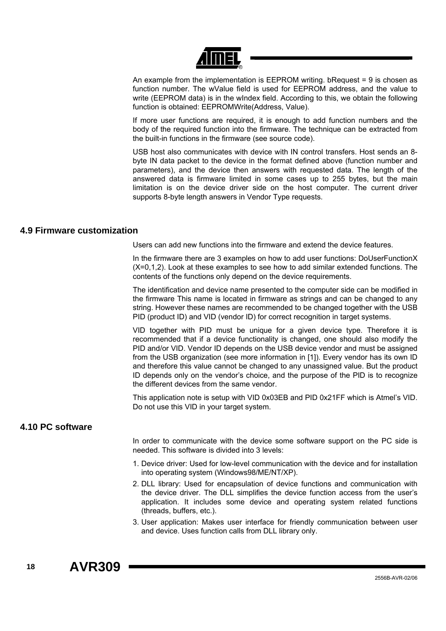

An example from the implementation is EEPROM writing. bRequest = 9 is chosen as function number. The wValue field is used for EEPROM address, and the value to write (EEPROM data) is in the wIndex field. According to this, we obtain the following function is obtained: EEPROMWrite(Address, Value).

If more user functions are required, it is enough to add function numbers and the body of the required function into the firmware. The technique can be extracted from the built-in functions in the firmware (see source code).

USB host also communicates with device with IN control transfers. Host sends an 8 byte IN data packet to the device in the format defined above (function number and parameters), and the device then answers with requested data. The length of the answered data is firmware limited in some cases up to 255 bytes, but the main limitation is on the device driver side on the host computer. The current driver supports 8-byte length answers in Vendor Type requests.

## **4.9 Firmware customization**

Users can add new functions into the firmware and extend the device features.

In the firmware there are 3 examples on how to add user functions: DoUserFunctionX (X=0,1,2). Look at these examples to see how to add similar extended functions. The contents of the functions only depend on the device requirements.

The identification and device name presented to the computer side can be modified in the firmware This name is located in firmware as strings and can be changed to any string. However these names are recommended to be changed together with the USB PID (product ID) and VID (vendor ID) for correct recognition in target systems.

VID together with PID must be unique for a given device type. Therefore it is recommended that if a device functionality is changed, one should also modify the PID and/or VID. Vendor ID depends on the USB device vendor and must be assigned from the USB organization (see more information in [\[1\]\)](#page-20-1). Every vendor has its own ID and therefore this value cannot be changed to any unassigned value. But the product ID depends only on the vendor's choice, and the purpose of the PID is to recognize the different devices from the same vendor.

This application note is setup with VID 0x03EB and PID 0x21FF which is Atmel's VID. Do not use this VID in your target system.

# **4.10 PC software**

In order to communicate with the device some software support on the PC side is needed. This software is divided into 3 levels:

- 1. Device driver: Used for low-level communication with the device and for installation into operating system (Windows98/ME/NT/XP).
- 2. DLL library: Used for encapsulation of device functions and communication with the device driver. The DLL simplifies the device function access from the user's application. It includes some device and operating system related functions (threads, buffers, etc.).
- 3. User application: Makes user interface for friendly communication between user and device. Uses function calls from DLL library only.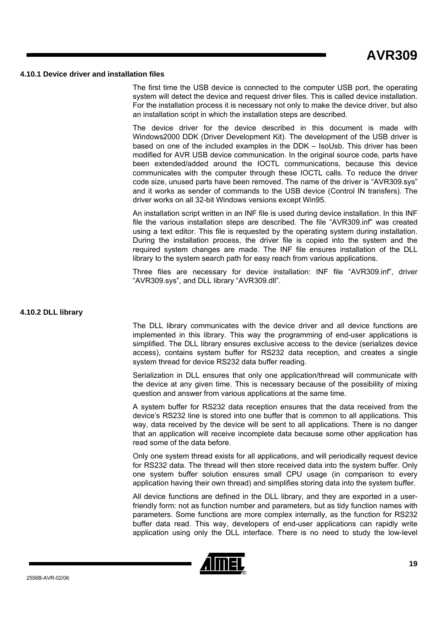## **4.10.1 Device driver and installation files**

The first time the USB device is connected to the computer USB port, the operating system will detect the device and request driver files. This is called device installation. For the installation process it is necessary not only to make the device driver, but also an installation script in which the installation steps are described.

The device driver for the device described in this document is made with Windows2000 DDK (Driver Development Kit). The development of the USB driver is based on one of the included examples in the DDK – IsoUsb. This driver has been modified for AVR USB device communication. In the original source code, parts have been extended/added around the IOCTL communications, because this device communicates with the computer through these IOCTL calls. To reduce the driver code size, unused parts have been removed. The name of the driver is "AVR309.sys" and it works as sender of commands to the USB device (Control IN transfers). The driver works on all 32-bit Windows versions except Win95.

An installation script written in an INF file is used during device installation. In this INF file the various installation steps are described. The file "AVR309.inf" was created using a text editor. This file is requested by the operating system during installation. During the installation process, the driver file is copied into the system and the required system changes are made. The INF file ensures installation of the DLL library to the system search path for easy reach from various applications.

Three files are necessary for device installation: INF file "AVR309.inf", driver "AVR309.sys", and DLL library "AVR309.dll".

## **4.10.2 DLL library**

The DLL library communicates with the device driver and all device functions are implemented in this library. This way the programming of end-user applications is simplified. The DLL library ensures exclusive access to the device (serializes device access), contains system buffer for RS232 data reception, and creates a single system thread for device RS232 data buffer reading.

Serialization in DLL ensures that only one application/thread will communicate with the device at any given time. This is necessary because of the possibility of mixing question and answer from various applications at the same time.

A system buffer for RS232 data reception ensures that the data received from the device's RS232 line is stored into one buffer that is common to all applications. This way, data received by the device will be sent to all applications. There is no danger that an application will receive incomplete data because some other application has read some of the data before.

Only one system thread exists for all applications, and will periodically request device for RS232 data. The thread will then store received data into the system buffer. Only one system buffer solution ensures small CPU usage (in comparison to every application having their own thread) and simplifies storing data into the system buffer.

All device functions are defined in the DLL library, and they are exported in a userfriendly form: not as function number and parameters, but as tidy function names with parameters. Some functions are more complex internally, as the function for RS232 buffer data read. This way, developers of end-user applications can rapidly write application using only the DLL interface. There is no need to study the low-level

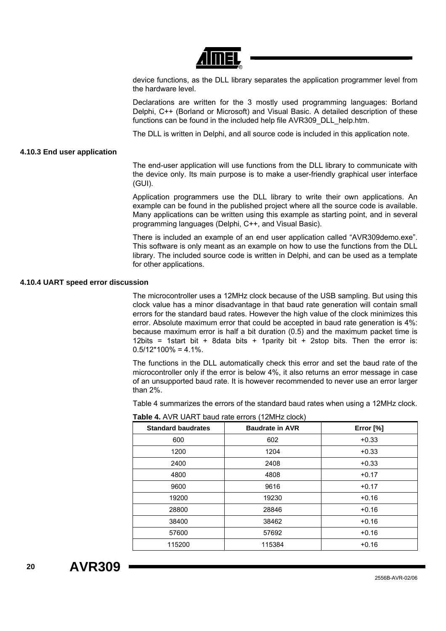

device functions, as the DLL library separates the application programmer level from the hardware level.

Declarations are written for the 3 mostly used programming languages: Borland Delphi, C++ (Borland or Microsoft) and Visual Basic. A detailed description of these functions can be found in the included help file AVR309\_DLL\_help.htm.

The DLL is written in Delphi, and all source code is included in this application note.

## **4.10.3 End user application**

The end-user application will use functions from the DLL library to communicate with the device only. Its main purpose is to make a user-friendly graphical user interface (GUI).

Application programmers use the DLL library to write their own applications. An example can be found in the published project where all the source code is available. Many applications can be written using this example as starting point, and in several programming languages (Delphi, C++, and Visual Basic).

There is included an example of an end user application called "AVR309demo.exe". This software is only meant as an example on how to use the functions from the DLL library. The included source code is written in Delphi, and can be used as a template for other applications.

## **4.10.4 UART speed error discussion**

The microcontroller uses a 12MHz clock because of the USB sampling. But using this clock value has a minor disadvantage in that baud rate generation will contain small errors for the standard baud rates. However the high value of the clock minimizes this error. Absolute maximum error that could be accepted in baud rate generation is 4%: because maximum error is half a bit duration (0.5) and the maximum packet time is 12bits = 1start bit + 8data bits + 1parity bit + 2stop bits. Then the error is:  $0.5/12*100\% = 4.1\%$ .

The functions in the DLL automatically check this error and set the baud rate of the microcontroller only if the error is below 4%, it also returns an error message in case of an unsupported baud rate. It is however recommended to never use an error larger than 2%.

[Table 4](#page-19-0) summarizes the errors of the standard baud rates when using a 12MHz clock.

<span id="page-19-0"></span>**Table 4.** AVR UART baud rate errors (12MHz clock)

| <b>Standard baudrates</b> | <b>Baudrate in AVR</b> | Error [%] |
|---------------------------|------------------------|-----------|
| 600                       | 602                    | $+0.33$   |
| 1200                      | 1204                   | $+0.33$   |
| 2400                      | 2408                   | $+0.33$   |
| 4800                      | 4808                   | $+0.17$   |
| 9600                      | 9616                   | $+0.17$   |
| 19200                     | 19230                  | $+0.16$   |
| 28800                     | 28846                  | $+0.16$   |
| 38400                     | 38462                  | $+0.16$   |
| 57600                     | 57692                  | $+0.16$   |
| 115200                    | 115384                 | $+0.16$   |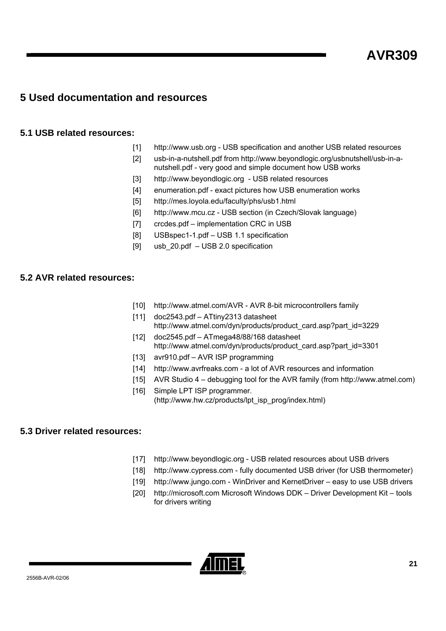# **5 Used documentation and resources**

# **5.1 USB related resources:**

- <span id="page-20-1"></span>[1] http://www.usb.org - USB specification and another USB related resources
- <span id="page-20-0"></span>[2] usb-in-a-nutshell.pdf from http://www.beyondlogic.org/usbnutshell/usb-in-anutshell.pdf - very good and simple document how USB works
- [3] http://www.beyondlogic.org USB related resources
- [4] enumeration.pdf exact pictures how USB enumeration works
- [5] http://mes.loyola.edu/faculty/phs/usb1.html
- [6] http://www.mcu.cz USB section (in Czech/Slovak language)
- [7] crcdes.pdf implementation CRC in USB
- [8] USBspec1-1.pdf USB 1.1 specification
- [9] usb 20.pdf USB 2.0 specification

# **5.2 AVR related resources:**

- [10] http://www.atmel.com/AVR AVR 8-bit microcontrollers family
- [11] doc2543.pdf ATtiny2313 datasheet http://www.atmel.com/dyn/products/product\_card.asp?part\_id=3229
- [12] doc2545.pdf ATmega48/88/168 datasheet http://www.atmel.com/dyn/products/product\_card.asp?part\_id=3301
- [13] avr910.pdf AVR ISP programming
- [14] http://www.avrfreaks.com a lot of AVR resources and information
- [15] AVR Studio 4 debugging tool for the AVR family (from http://www.atmel.com)
- [16] Simple LPT ISP programmer. (http://www.hw.cz/products/lpt\_isp\_prog/index.html)

# **5.3 Driver related resources:**

- [17] http://www.beyondlogic.org USB related resources about USB drivers
- [18] http://www.cypress.com fully documented USB driver (for USB thermometer)
- [19] http://www.jungo.com WinDriver and KernetDriver easy to use USB drivers
- [20] http://microsoft.com Microsoft Windows DDK Driver Development Kit tools for drivers writing

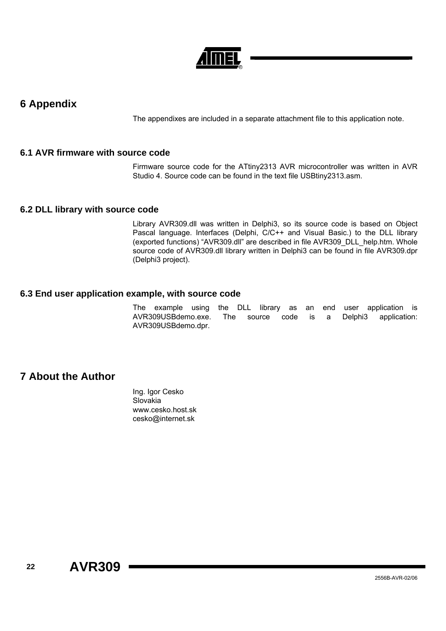

# **6 Appendix**

The appendixes are included in a separate attachment file to this application note.

# **6.1 AVR firmware with source code**

Firmware source code for the ATtiny2313 AVR microcontroller was written in AVR Studio 4. Source code can be found in the text file USBtiny2313.asm.

## **6.2 DLL library with source code**

Library AVR309.dll was written in Delphi3, so its source code is based on Object Pascal language. Interfaces (Delphi, C/C++ and Visual Basic.) to the DLL library (exported functions) "AVR309.dll" are described in file AVR309\_DLL\_help.htm. Whole source code of AVR309.dll library written in Delphi3 can be found in file AVR309.dpr (Delphi3 project).

## **6.3 End user application example, with source code**

The example using the DLL library as an end user application is AVR309USBdemo.exe. The source code is a Delphi3 application: AVR309USBdemo.dpr.

# **7 About the Author**

Ing. Igor Cesko Slovakia www.cesko.host.sk cesko@internet.sk

**22 AVR309**